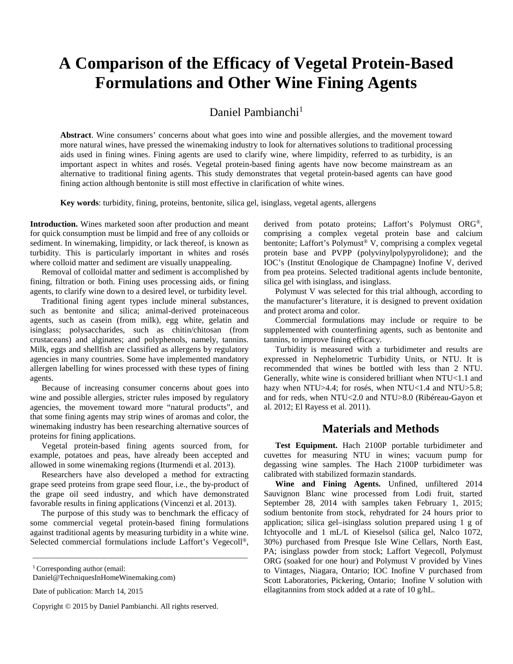# **A Comparison of the Efficacy of Vegetal Protein-Based Formulations and Other Wine Fining Agents**

Daniel Pambianchi<sup>1</sup>

**Abstract**. Wine consumers' concerns about what goes into wine and possible allergies, and the movement toward more natural wines, have pressed the winemaking industry to look for alternatives solutions to traditional processing aids used in fining wines. Fining agents are used to clarify wine, where limpidity, referred to as turbidity, is an important aspect in whites and rosés. Vegetal protein-based fining agents have now become mainstream as an alternative to traditional fining agents. This study demonstrates that vegetal protein-based agents can have good fining action although bentonite is still most effective in clarification of white wines.

**Key words**: turbidity, fining, proteins, bentonite, silica gel, isinglass, vegetal agents, allergens

**Introduction.** Wines marketed soon after production and meant for quick consumption must be limpid and free of any colloids or sediment. In winemaking, limpidity, or lack thereof, is known as turbidity. This is particularly important in whites and rosés where colloid matter and sediment are visually unappealing.

Removal of colloidal matter and sediment is accomplished by fining, filtration or both. Fining uses processing aids, or fining agents, to clarify wine down to a desired level, or turbidity level.

Traditional fining agent types include mineral substances, such as bentonite and silica; animal-derived proteinaceous agents, such as casein (from milk), egg white, gelatin and isinglass; polysaccharides, such as chitin/chitosan (from crustaceans) and alginates; and polyphenols, namely, tannins. Milk, eggs and shellfish are classified as allergens by regulatory agencies in many countries. Some have implemented mandatory allergen labelling for wines processed with these types of fining agents.

Because of increasing consumer concerns about goes into wine and possible allergies, stricter rules imposed by regulatory agencies, the movement toward more "natural products", and that some fining agents may strip wines of aromas and color, the winemaking industry has been researching alternative sources of proteins for fining applications.

Vegetal protein-based fining agents sourced from, for example, potatoes and peas, have already been accepted and allowed in some winemaking regions (Iturmendi et al. 2013).

Researchers have also developed a method for extracting grape seed proteins from grape seed flour, i.e., the by-product of the grape oil seed industry, and which have demonstrated favorable results in fining applications (Vincenzi et al. 2013).

The purpose of this study was to benchmark the efficacy of some commercial vegetal protein-based fining formulations against traditional agents by measuring turbidity in a white wine. Selected commercial formulations include Laffort's Vegecoll®,

\_\_\_\_\_\_\_\_\_\_\_\_\_\_\_\_\_\_\_\_\_\_\_\_\_\_\_\_\_\_\_\_\_\_\_\_\_\_\_\_\_\_\_\_\_\_\_\_\_\_\_\_\_\_\_\_\_

Copyright © 2015 by Daniel Pambianchi. All rights reserved.

derived from potato proteins; Laffort's Polymust ORG®, comprising a complex vegetal protein base and calcium bentonite; Laffort's Polymust® V, comprising a complex vegetal protein base and PVPP (polyvinylpolypyrolidone); and the IOC's (Institut Œnologique de Champagne) Inofine V, derived from pea proteins. Selected traditional agents include bentonite, silica gel with isinglass, and isinglass.

Polymust V was selected for this trial although, according to the manufacturer's literature, it is designed to prevent oxidation and protect aroma and color.

Commercial formulations may include or require to be supplemented with counterfining agents, such as bentonite and tannins, to improve fining efficacy.

Turbidity is measured with a turbidimeter and results are expressed in Nephelometric Turbidity Units, or NTU. It is recommended that wines be bottled with less than 2 NTU. Generally, white wine is considered brilliant when NTU<1.1 and hazy when NTU>4.4; for rosés, when NTU<1.4 and NTU>5.8; and for reds, when NTU<2.0 and NTU>8.0 (Ribéreau-Gayon et al. 2012; El Rayess et al. 2011).

## **Materials and Methods**

**Test Equipment.** Hach 2100P portable turbidimeter and cuvettes for measuring NTU in wines; vacuum pump for degassing wine samples. The Hach 2100P turbidimeter was calibrated with stabilized formazin standards.

**Wine and Fining Agents.** Unfined, unfiltered 2014 Sauvignon Blanc wine processed from Lodi fruit, started September 28, 2014 with samples taken February 1, 2015; sodium bentonite from stock, rehydrated for 24 hours prior to application; silica gel–isinglass solution prepared using 1 g of Ichtyocolle and 1 mL/L of Kieselsol (silica gel, Nalco 1072, 30%) purchased from Presque Isle Wine Cellars, North East, PA; isinglass powder from stock; Laffort Vegecoll, Polymust ORG (soaked for one hour) and Polymust V provided by Vines to Vintages, Niagara, Ontario; IOC Inofine V purchased from Scott Laboratories, Pickering, Ontario; Inofine V solution with ellagitannins from stock added at a rate of 10 g/hL.

<sup>&</sup>lt;sup>1</sup> Corresponding author (email:

Daniel@TechniquesInHomeWinemaking.com)

Date of publication: March 14, 2015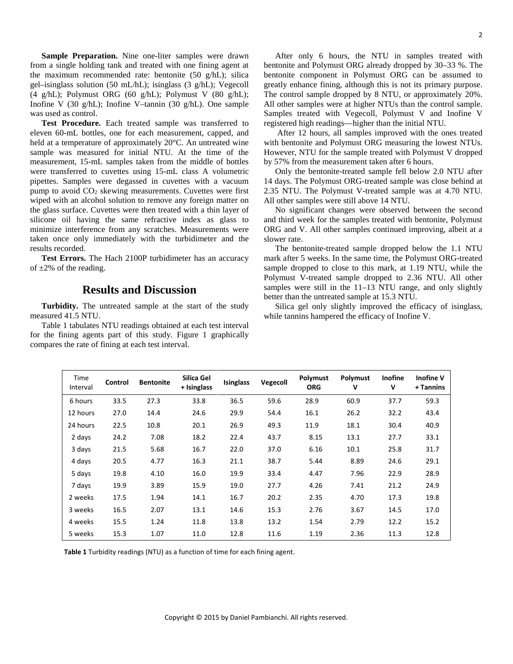**Sample Preparation.** Nine one-liter samples were drawn from a single holding tank and treated with one fining agent at the maximum recommended rate: bentonite (50 g/hL); silica gel–isinglass solution (50 mL/hL); isinglass (3 g/hL); Vegecoll (4 g/hL); Polymust ORG (60 g/hL); Polymust V (80 g/hL); Inofine V (30 g/hL); Inofine V–tannin (30 g/hL). One sample was used as control.

**Test Procedure.** Each treated sample was transferred to eleven 60-mL bottles, one for each measurement, capped, and held at a temperature of approximately 20°C. An untreated wine sample was measured for initial NTU. At the time of the measurement, 15-mL samples taken from the middle of bottles were transferred to cuvettes using 15-mL class A volumetric pipettes. Samples were degassed in cuvettes with a vacuum pump to avoid  $CO<sub>2</sub>$  skewing measurements. Cuvettes were first wiped with an alcohol solution to remove any foreign matter on the glass surface. Cuvettes were then treated with a thin layer of silicone oil having the same refractive index as glass to minimize interference from any scratches. Measurements were taken once only immediately with the turbidimeter and the results recorded.

**Test Errors.** The Hach 2100P turbidimeter has an accuracy of  $\pm 2\%$  of the reading.

## **Results and Discussion**

**Turbidity.** The untreated sample at the start of the study measured 41.5 NTU.

Table 1 tabulates NTU readings obtained at each test interval for the fining agents part of this study. Figure 1 graphically compares the rate of fining at each test interval.

After only 6 hours, the NTU in samples treated with bentonite and Polymust ORG already dropped by 30–33 %. The bentonite component in Polymust ORG can be assumed to greatly enhance fining, although this is not its primary purpose. The control sample dropped by 8 NTU, or approximately 20%. All other samples were at higher NTUs than the control sample. Samples treated with Vegecoll, Polymust V and Inofine V registered high readings—higher than the initial NTU.

After 12 hours, all samples improved with the ones treated with bentonite and Polymust ORG measuring the lowest NTUs. However, NTU for the sample treated with Polymust V dropped by 57% from the measurement taken after 6 hours.

Only the bentonite-treated sample fell below 2.0 NTU after 14 days. The Polymust ORG-treated sample was close behind at 2.35 NTU. The Polymust V-treated sample was at 4.70 NTU. All other samples were still above 14 NTU.

No significant changes were observed between the second and third week for the samples treated with bentonite, Polymust ORG and V. All other samples continued improving, albeit at a slower rate.

The bentonite-treated sample dropped below the 1.1 NTU mark after 5 weeks. In the same time, the Polymust ORG-treated sample dropped to close to this mark, at 1.19 NTU, while the Polymust V-treated sample dropped to 2.36 NTU. All other samples were still in the 11–13 NTU range, and only slightly better than the untreated sample at 15.3 NTU.

Silica gel only slightly improved the efficacy of isinglass, while tannins hampered the efficacy of Inofine V.

| Time<br>Interval | Control | <b>Bentonite</b> | Silica Gel<br>+ Isinglass | <b>Isinglass</b> | <b>Vegecoll</b> | <b>Polymust</b><br><b>ORG</b> | Polymust<br>٧ | Inofine<br>V | <b>Inofine V</b><br>+ Tannins |
|------------------|---------|------------------|---------------------------|------------------|-----------------|-------------------------------|---------------|--------------|-------------------------------|
| 6 hours          | 33.5    | 27.3             | 33.8                      | 36.5             | 59.6            | 28.9                          | 60.9          | 37.7         | 59.3                          |
| 12 hours         | 27.0    | 14.4             | 24.6                      | 29.9             | 54.4            | 16.1                          | 26.2          | 32.2         | 43.4                          |
| 24 hours         | 22.5    | 10.8             | 20.1                      | 26.9             | 49.3            | 11.9                          | 18.1          | 30.4         | 40.9                          |
| 2 days           | 24.2    | 7.08             | 18.2                      | 22.4             | 43.7            | 8.15                          | 13.1          | 27.7         | 33.1                          |
| 3 days           | 21.5    | 5.68             | 16.7                      | 22.0             | 37.0            | 6.16                          | 10.1          | 25.8         | 31.7                          |
| 4 days           | 20.5    | 4.77             | 16.3                      | 21.1             | 38.7            | 5.44                          | 8.89          | 24.6         | 29.1                          |
| 5 days           | 19.8    | 4.10             | 16.0                      | 19.9             | 33.4            | 4.47                          | 7.96          | 22.9         | 28.9                          |
| 7 days           | 19.9    | 3.89             | 15.9                      | 19.0             | 27.7            | 4.26                          | 7.41          | 21.2         | 24.9                          |
| 2 weeks          | 17.5    | 1.94             | 14.1                      | 16.7             | 20.2            | 2.35                          | 4.70          | 17.3         | 19.8                          |
| 3 weeks          | 16.5    | 2.07             | 13.1                      | 14.6             | 15.3            | 2.76                          | 3.67          | 14.5         | 17.0                          |
| 4 weeks          | 15.5    | 1.24             | 11.8                      | 13.8             | 13.2            | 1.54                          | 2.79          | 12.2         | 15.2                          |
| 5 weeks          | 15.3    | 1.07             | 11.0                      | 12.8             | 11.6            | 1.19                          | 2.36          | 11.3         | 12.8                          |

**Table 1** Turbidity readings (NTU) as a function of time for each fining agent.